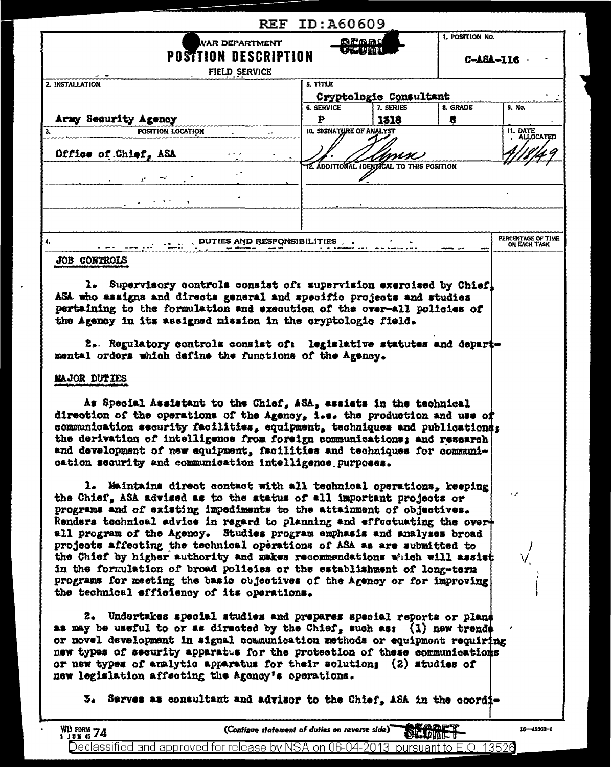| <b>REF</b>                                                                                                                                                                                                                                                                                                                                                                                                                                                                                                                                                                                                                                                                                                                             | ID:A60609                                        |                        |                               |                                    |  |
|----------------------------------------------------------------------------------------------------------------------------------------------------------------------------------------------------------------------------------------------------------------------------------------------------------------------------------------------------------------------------------------------------------------------------------------------------------------------------------------------------------------------------------------------------------------------------------------------------------------------------------------------------------------------------------------------------------------------------------------|--------------------------------------------------|------------------------|-------------------------------|------------------------------------|--|
| WAR DEPARTMENT<br><b>POSTTION DESCRIPTION</b><br>FIELD SERVICE                                                                                                                                                                                                                                                                                                                                                                                                                                                                                                                                                                                                                                                                         | 1. POSITION No.<br><u> Aramı</u><br>ol unu       |                        |                               | C-A8A-116                          |  |
| 2. INSTALLATION                                                                                                                                                                                                                                                                                                                                                                                                                                                                                                                                                                                                                                                                                                                        | 5. TITLE                                         |                        |                               |                                    |  |
|                                                                                                                                                                                                                                                                                                                                                                                                                                                                                                                                                                                                                                                                                                                                        |                                                  | Cryptologic Consultant |                               |                                    |  |
|                                                                                                                                                                                                                                                                                                                                                                                                                                                                                                                                                                                                                                                                                                                                        | <b>6. SERVICE</b>                                | 7. SERIES              | 8. GRADE                      | 9. No.                             |  |
| Army Security Agency<br>POSITION LOCATION                                                                                                                                                                                                                                                                                                                                                                                                                                                                                                                                                                                                                                                                                              | Þ<br>10. SIGNATURE OF ANALYST                    | 1318                   | 8                             | 11. DATE                           |  |
|                                                                                                                                                                                                                                                                                                                                                                                                                                                                                                                                                                                                                                                                                                                                        |                                                  |                        |                               | ALLOCATED                          |  |
| Office of Chief, ASA                                                                                                                                                                                                                                                                                                                                                                                                                                                                                                                                                                                                                                                                                                                   |                                                  |                        |                               |                                    |  |
|                                                                                                                                                                                                                                                                                                                                                                                                                                                                                                                                                                                                                                                                                                                                        | <b>12. ADDITIONAL IDENTICAL TO THIS POSITION</b> |                        |                               |                                    |  |
|                                                                                                                                                                                                                                                                                                                                                                                                                                                                                                                                                                                                                                                                                                                                        |                                                  |                        |                               |                                    |  |
|                                                                                                                                                                                                                                                                                                                                                                                                                                                                                                                                                                                                                                                                                                                                        |                                                  |                        |                               |                                    |  |
|                                                                                                                                                                                                                                                                                                                                                                                                                                                                                                                                                                                                                                                                                                                                        |                                                  |                        |                               |                                    |  |
|                                                                                                                                                                                                                                                                                                                                                                                                                                                                                                                                                                                                                                                                                                                                        |                                                  |                        |                               |                                    |  |
| DUTIES AND RESPONSIBILITIES                                                                                                                                                                                                                                                                                                                                                                                                                                                                                                                                                                                                                                                                                                            |                                                  |                        |                               | PERCENTAGE OF TIME<br>ON EACH TASK |  |
| JOB CONTROLS                                                                                                                                                                                                                                                                                                                                                                                                                                                                                                                                                                                                                                                                                                                           |                                                  |                        |                               |                                    |  |
| MAJOR DUTIES<br>As Special Assistant to the Chief, ASA, assists in the technical<br>direction of the operations of the Agency, i.e. the production and use of<br>communication security facilities, equipment, techniques and publications:<br>the derivation of intelligence from foreign communications; and research<br>and development of new equipment, facilities and techniques for communi-<br>cation security and communication intelligence purposes.                                                                                                                                                                                                                                                                        |                                                  |                        |                               |                                    |  |
| 1. Maintains direct contact with all technical operations, keeping<br>the Chief, ASA advised as to the status of all important projects or<br>programs and of existing impediments to the attainment of objectives.<br>Renders technical advice in regard to planning and effectuating the over+<br>all program of the Agency. Studies program emphasis and analyses broad<br>projects affecting the technical operations of ASA as are submitted to<br>the Chief by higher authority and makes recommendations which will assist<br>in the formulation of broad policies or the establishment of long-term<br>programs for meeting the basic objectives of the Agency or for improving<br>the technical efficiency of its operations. |                                                  |                        |                               | ۰,                                 |  |
| 2. Undertakes special studies and prepares special reports or plans<br>as may be useful to or as directed by the Chief, such as: $(1)$ new trends<br>or novel development in signal communication methods or equipment requiring<br>new types of security apparatus for the protection of these communications<br>or new types of analytic apparatus for their solution; (2) studies of<br>new legislation affecting the Agency's operations.<br>5. Serves as consultant and advisor to the Chief, ASA in the coordi-                                                                                                                                                                                                                  |                                                  |                        |                               |                                    |  |
| (Continue statement of duties on reverse side)<br>WD FORM $74$                                                                                                                                                                                                                                                                                                                                                                                                                                                                                                                                                                                                                                                                         |                                                  |                        | <u>EADFT</u><br><b>DETIVE</b> | $16 - 45363 - 1$                   |  |

 $\ddot{\phantom{1}}$ 

 $\overline{a}$ 

Declassified and approved for release by NSA on 06-04-2013 pursuant to E.O. 13526